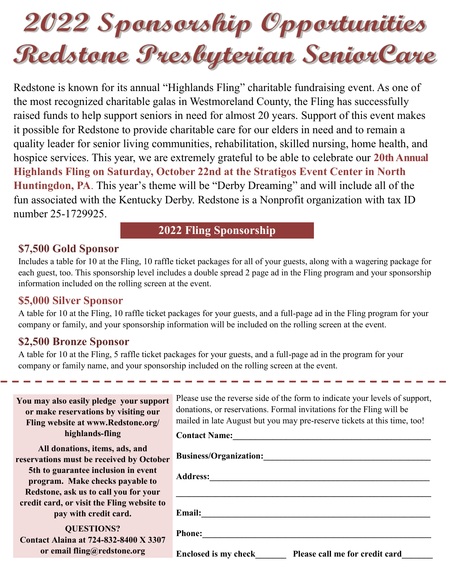# 2022 Sponsorship Opportunities Redstane Presbyterian SeniorCare

Redstone is known for its annual "Highlands Fling" charitable fundraising event. As one of the most recognized charitable galas in Westmoreland County, the Fling has successfully raised funds to help support seniors in need for almost 20 years. Support of this event makes it possible for Redstone to provide charitable care for our elders in need and to remain a quality leader for senior living communities, rehabilitation, skilled nursing, home health, and hospice services. This year, we are extremely grateful to be able to celebrate our **20th Annual Highlands Fling on Saturday, October 22nd at the Stratigos Event Center in North Huntingdon, PA**. This year's theme will be "Derby Dreaming" and will include all of the fun associated with the Kentucky Derby. Redstone is a Nonprofit organization with tax ID number 25-1729925.

# **2022 Fling Sponsorship**

# **\$7,500 Gold Sponsor**

Includes a table for 10 at the Fling, 10 raffle ticket packages for all of your guests, along with a wagering package for each guest, too. This sponsorship level includes a double spread 2 page ad in the Fling program and your sponsorship information included on the rolling screen at the event.

## **\$5,000 Silver Sponsor**

A table for 10 at the Fling, 10 raffle ticket packages for your guests, and a full-page ad in the Fling program for your company or family, and your sponsorship information will be included on the rolling screen at the event.

# **\$2,500 Bronze Sponsor**

A table for 10 at the Fling, 5 raffle ticket packages for your guests, and a full-page ad in the program for your company or family name, and your sponsorship included on the rolling screen at the event.

| You may also easily pledge your support<br>or make reservations by visiting our<br>Fling website at www.Redstone.org/<br>highlands-fling                                                      | Please use the reverse side of the form to indicate your levels of support,<br>donations, or reservations. Formal invitations for the Fling will be<br>mailed in late August but you may pre-reserve tickets at this time, too!<br><b>Contact Name:</b> |
|-----------------------------------------------------------------------------------------------------------------------------------------------------------------------------------------------|---------------------------------------------------------------------------------------------------------------------------------------------------------------------------------------------------------------------------------------------------------|
| All donations, items, ads, and<br>reservations must be received by October<br>5th to guarantee inclusion in event<br>program. Make checks payable to<br>Redstone, ask us to call you for your | <b>Business/Organization:</b><br><b>Address:</b>                                                                                                                                                                                                        |
| credit card, or visit the Fling website to<br>pay with credit card.<br><b>QUESTIONS?</b><br><b>Contact Alaina at 724-832-8400 X 3307</b><br>or email fling@redstone.org                       | <b>Email:</b><br><b>Phone:</b><br>Please call me for credit card<br><b>Enclosed is my check</b>                                                                                                                                                         |